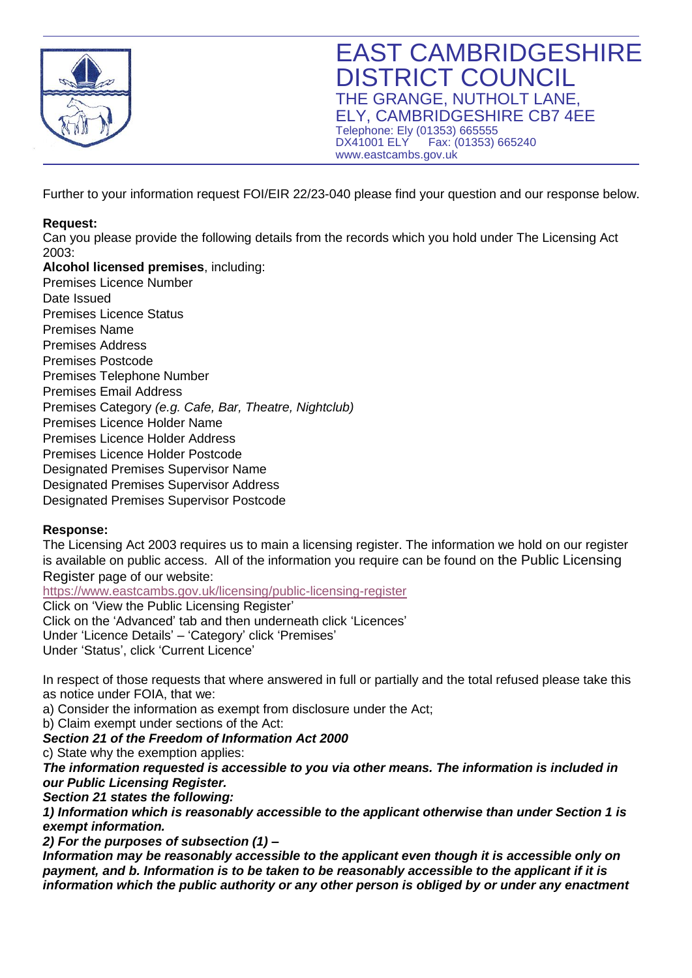

Further to your information request FOI/EIR 22/23-040 please find your question and our response below.

## **Request:**

Can you please provide the following details from the records which you hold under The Licensing Act 2003:

**Alcohol licensed premises**, including: • Premises Licence Number Date Issued • Premises Licence Status • Premises Name • Premises Address • Premises Postcode • Premises Telephone Number • Premises Email Address • Premises Category *(e.g. Cafe, Bar, Theatre, Nightclub)* • Premises Licence Holder Name • Premises Licence Holder Address • Premises Licence Holder Postcode • Designated Premises Supervisor Name • Designated Premises Supervisor Address • Designated Premises Supervisor Postcode

## **Response:**

The Licensing Act 2003 requires us to main a licensing register. The information we hold on our register is available on public access. All of the information you require can be found on the Public Licensing Register page of our website:

<https://www.eastcambs.gov.uk/licensing/public-licensing-register>

Click on 'View the Public Licensing Register' Click on the 'Advanced' tab and then underneath click 'Licences' Under 'Licence Details' – 'Category' click 'Premises' Under 'Status', click 'Current Licence'

In respect of those requests that where answered in full or partially and the total refused please take this as notice under FOIA, that we:

a) Consider the information as exempt from disclosure under the Act;

b) Claim exempt under sections of the Act:

*Section 21 of the Freedom of Information Act 2000*

c) State why the exemption applies:

*The information requested is accessible to you via other means. The information is included in our Public Licensing Register.*

*Section 21 states the following:*

*1) Information which is reasonably accessible to the applicant otherwise than under Section 1 is exempt information.*

*2) For the purposes of subsection (1) –*

*Information may be reasonably accessible to the applicant even though it is accessible only on payment, and b. Information is to be taken to be reasonably accessible to the applicant if it is information which the public authority or any other person is obliged by or under any enactment*